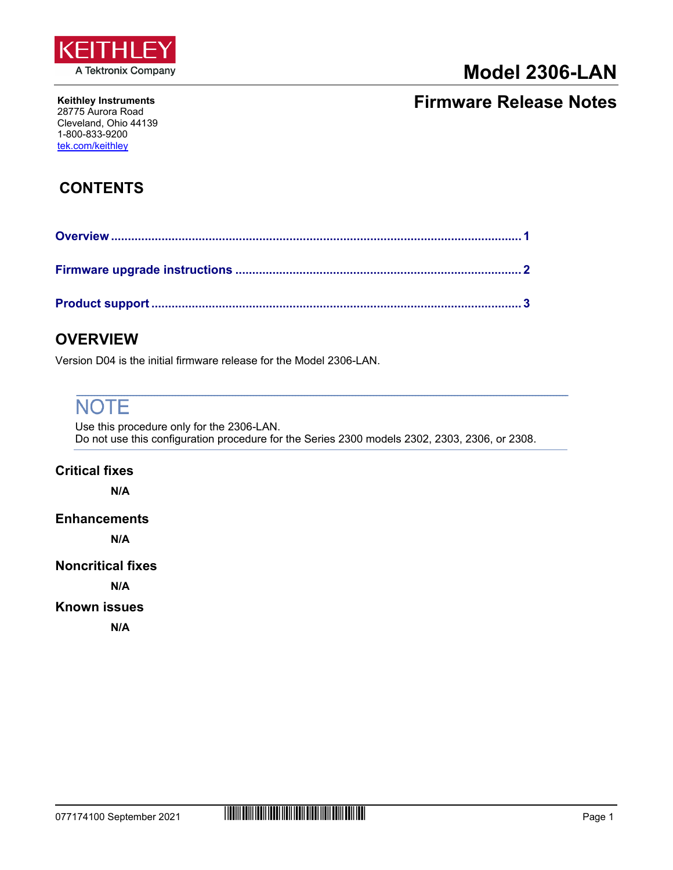

# **Model 2306-LAN**

#### **Keithley Instruments** 28775 Aurora Road Cleveland, Ohio 44139 1-800-833-9200 [tek.com/keithley](https://www.tek.com/keithley)

## **Firmware Release Notes**

## **CONTENTS**

## <span id="page-0-0"></span>**OVERVIEW**

Version D04 is the initial firmware release for the Model 2306-LAN.

# **NOTE**

Use this procedure only for the 2306-LAN. Do not use this configuration procedure for the Series 2300 models 2302, 2303, 2306, or 2308.

### **Critical fixes**

**N/A**

### **Enhancements**

**N/A**

### **Noncritical fixes**

**N/A** 

### <span id="page-0-1"></span>**Known issues**

**N/A**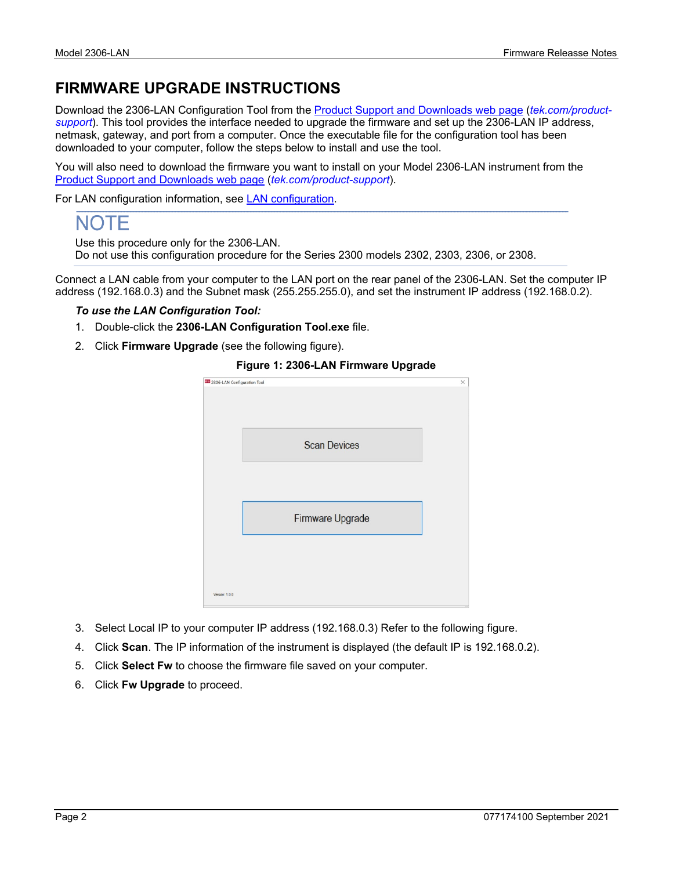## <span id="page-1-0"></span>**FIRMWARE UPGRADE INSTRUCTIONS**

Download the 2306-LAN Configuration Tool from the [Product Support and Downloads web page](https://www.tek.com/product-support) (*[tek.com/product](https://www.tek.com/product-support)[support](https://www.tek.com/product-support)*). This tool provides the interface needed to upgrade the firmware and set up the 2306-LAN IP address, netmask, gateway, and port from a computer. Once the executable file for the configuration tool has been downloaded to your computer, follow the steps below to install and use the tool.

You will also need to download the firmware you want to install on your Model 2306-LAN instrument from the [Product Support and Downloads web page](https://www.tek.com/product-support) (*[tek.com/product-support](https://www.tek.com/product-support)*).

For LAN configuration information, see [LAN configuration.](#page-0-1)

# NOTF

Use this procedure only for the 2306-LAN.

Do not use this configuration procedure for the Series 2300 models 2302, 2303, 2306, or 2308.

Connect a LAN cable from your computer to the LAN port on the rear panel of the 2306-LAN. Set the computer IP address (192.168.0.3) and the Subnet mask (255.255.255.0), and set the instrument IP address (192.168.0.2).

#### *To use the LAN Configuration Tool:*

- 1. Double-click the **2306-LAN Configuration Tool.exe** file.
- 2. Click **Firmware Upgrade** (see the following figure).



#### **Figure 1: 2306-LAN Firmware Upgrade**

- 3. Select Local IP to your computer IP address (192.168.0.3) Refer to the following figure.
- 4. Click **Scan**. The IP information of the instrument is displayed (the default IP is 192.168.0.2).
- 5. Click **Select Fw** to choose the firmware file saved on your computer.
- 6. Click **Fw Upgrade** to proceed.